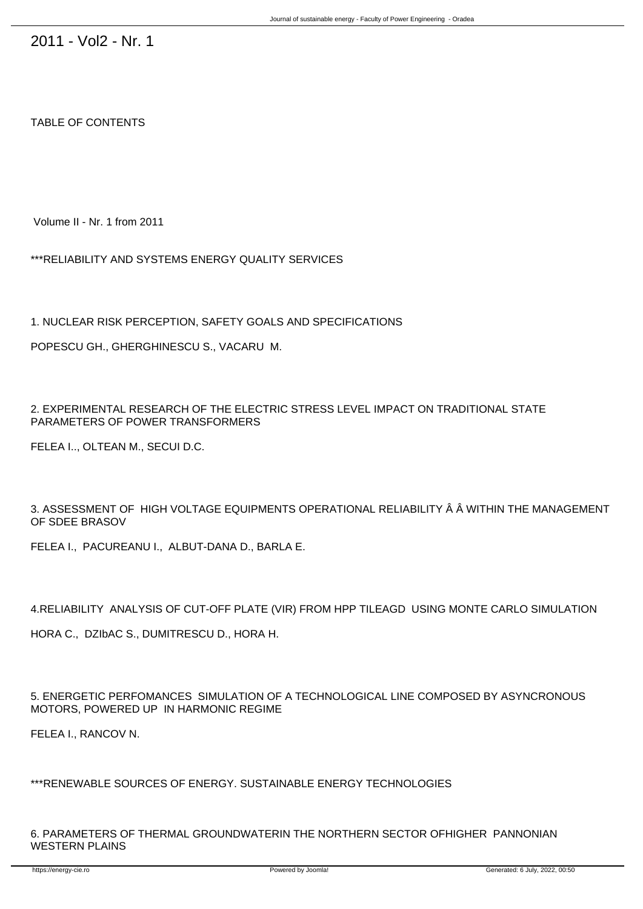## TABLE OF CONTENTS

Volume II - Nr. 1 from 2011

\*\*\*RELIABILITY AND SYSTEMS ENERGY QUALITY SERVICES

1. NUCLEAR RISK PERCEPTION, SAFETY GOALS AND SPECIFICATIONS

POPESCU GH., GHERGHINESCU S., VACARU M.

2. EXPERIMENTAL RESEARCH OF THE ELECTRIC STRESS LEVEL IMPACT ON TRADITIONAL STATE PARAMETERS OF POWER TRANSFORMERS

FELEA I.., OLTEAN M., SECUI D.C.

3. ASSESSMENT OF HIGH VOLTAGE EQUIPMENTS OPERATIONAL RELIABILITY Â Â WITHIN THE MANAGEMENT OF SDEE BRASOV

FELEA I., PACUREANU I., ALBUT-DANA D., BARLA E.

4.RELIABILITY ANALYSIS OF CUT-OFF PLATE (VIR) FROM HPP TILEAGD USING MONTE CARLO SIMULATION

HORA C., DZIbAC S., DUMITRESCU D., HORA H.

5. ENERGETIC PERFOMANCES SIMULATION OF A TECHNOLOGICAL LINE COMPOSED BY ASYNCRONOUS MOTORS, POWERED UP IN HARMONIC REGIME

FELEA I., RANCOV N.

\*\*\*RENEWABLE SOURCES OF ENERGY. SUSTAINABLE ENERGY TECHNOLOGIES

6. PARAMETERS OF THERMAL GROUNDWATERIN THE NORTHERN SECTOR OFHIGHER PANNONIAN WESTERN PLAINS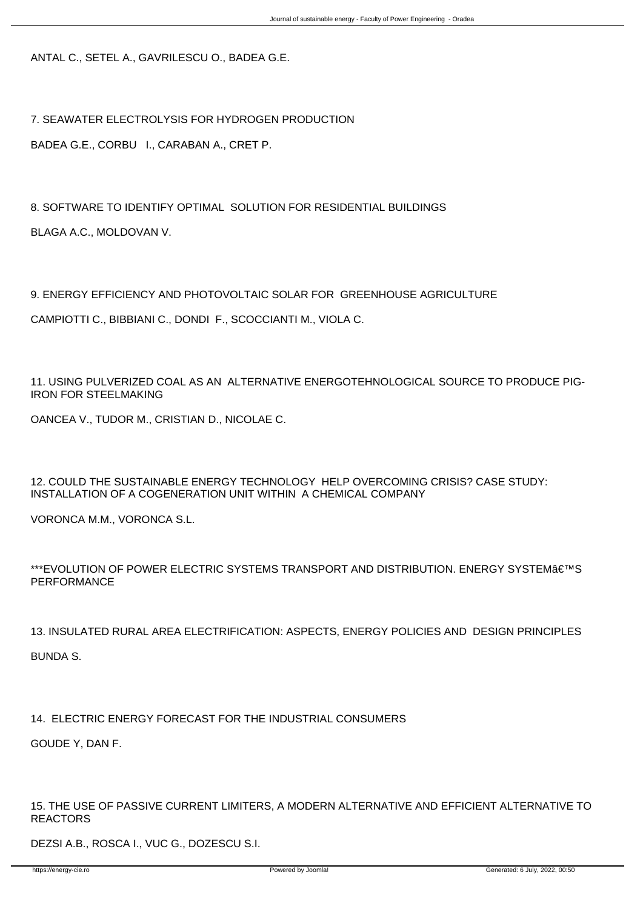ANTAL C., SETEL A., GAVRILESCU O., BADEA G.E.

7. SEAWATER ELECTROLYSIS FOR HYDROGEN PRODUCTION

BADEA G.E., CORBU I., CARABAN A., CRET P.

8. SOFTWARE TO IDENTIFY OPTIMAL SOLUTION FOR RESIDENTIAL BUILDINGS BLAGA A.C., MOLDOVAN V.

9. ENERGY EFFICIENCY AND PHOTOVOLTAIC SOLAR FOR GREENHOUSE AGRICULTURE

CAMPIOTTI C., BIBBIANI C., DONDI F., SCOCCIANTI M., VIOLA C.

11. USING PULVERIZED COAL AS AN ALTERNATIVE ENERGOTEHNOLOGICAL SOURCE TO PRODUCE PIG-IRON FOR STEELMAKING

OANCEA V., TUDOR M., CRISTIAN D., NICOLAE C.

12. COULD THE SUSTAINABLE ENERGY TECHNOLOGY HELP OVERCOMING CRISIS? CASE STUDY: INSTALLATION OF A COGENERATION UNIT WITHIN A CHEMICAL COMPANY

VORONCA M.M., VORONCA S.L.

\*\*\*EVOLUTION OF POWER ELECTRIC SYSTEMS TRANSPORT AND DISTRIBUTION. ENERGY SYSTEM€™S PERFORMANCE

13. INSULATED RURAL AREA ELECTRIFICATION: ASPECTS, ENERGY POLICIES AND DESIGN PRINCIPLES BUNDA S.

14. ELECTRIC ENERGY FORECAST FOR THE INDUSTRIAL CONSUMERS

GOUDE Y, DAN F.

15. THE USE OF PASSIVE CURRENT LIMITERS, A MODERN ALTERNATIVE AND EFFICIENT ALTERNATIVE TO REACTORS

DEZSI A.B., ROSCA I., VUC G., DOZESCU S.I.